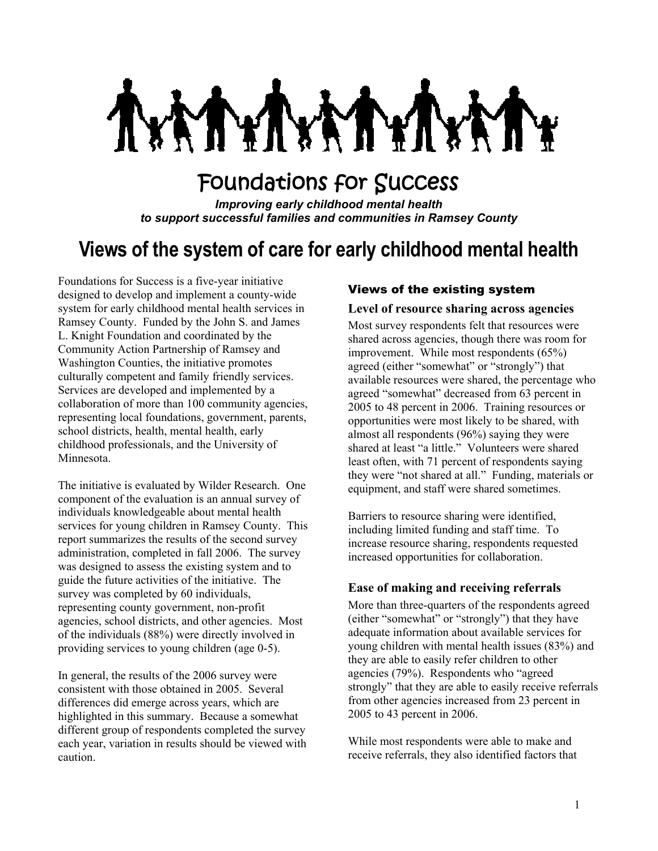MY. **Y** 

# Foundations for Success

*Improving early childhood mental health to support successful families and communities in Ramsey County*

## **Views of the system of care for early childhood mental health**

Foundations for Success is a five-year initiative designed to develop and implement a county-wide system for early childhood mental health services in Ramsey County. Funded by the John S. and James L. Knight Foundation and coordinated by the Community Action Partnership of Ramsey and Washington Counties, the initiative promotes culturally competent and family friendly services. Services are developed and implemented by a collaboration of more than 100 community agencies, representing local foundations, government, parents, school districts, health, mental health, early childhood professionals, and the University of Minnesota.

The initiative is evaluated by Wilder Research. One component of the evaluation is an annual survey of individuals knowledgeable about mental health services for young children in Ramsey County. This report summarizes the results of the second survey administration, completed in fall 2006. The survey was designed to assess the existing system and to guide the future activities of the initiative. The survey was completed by 60 individuals, representing county government, non-profit agencies, school districts, and other agencies. Most of the individuals (88%) were directly involved in providing services to young children (age 0-5).

In general, the results of the 2006 survey were consistent with those obtained in 2005. Several differences did emerge across years, which are highlighted in this summary. Because a somewhat different group of respondents completed the survey each year, variation in results should be viewed with caution.

#### Views of the existing system

#### **Level of resource sharing across agencies**

Most survey respondents felt that resources were shared across agencies, though there was room for improvement. While most respondents (65%) agreed (either "somewhat" or "strongly") that available resources were shared, the percentage who agreed "somewhat" decreased from 63 percent in 2005 to 48 percent in 2006. Training resources or opportunities were most likely to be shared, with almost all respondents (96%) saying they were shared at least "a little." Volunteers were shared least often, with 71 percent of respondents saying they were "not shared at all." Funding, materials or equipment, and staff were shared sometimes.

Barriers to resource sharing were identified, including limited funding and staff time. To increase resource sharing, respondents requested increased opportunities for collaboration.

#### **Ease of making and receiving referrals**

More than three-quarters of the respondents agreed (either "somewhat" or "strongly") that they have adequate information about available services for young children with mental health issues (83%) and they are able to easily refer children to other agencies (79%). Respondents who "agreed strongly" that they are able to easily receive referrals from other agencies increased from 23 percent in 2005 to 43 percent in 2006.

While most respondents were able to make and receive referrals, they also identified factors that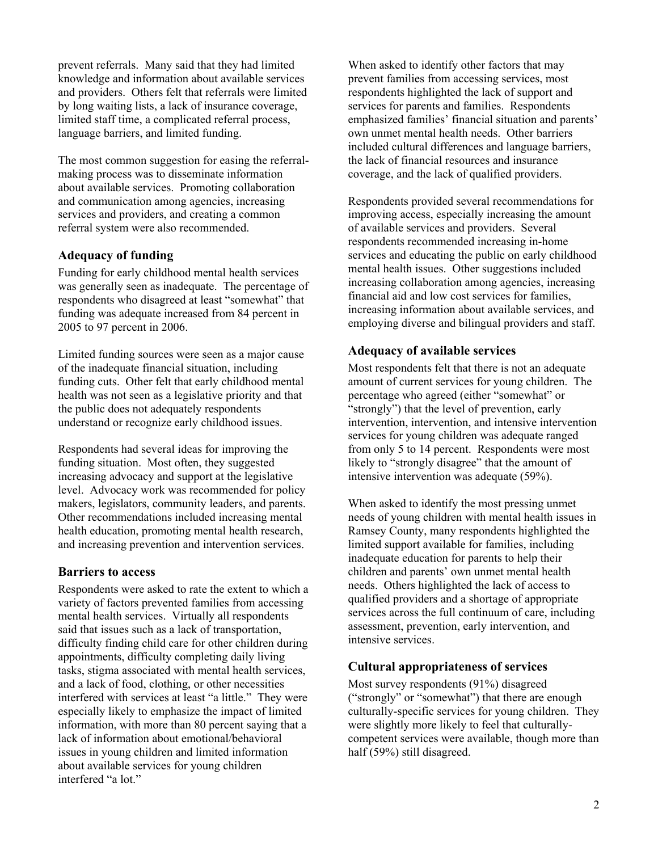prevent referrals. Many said that they had limited knowledge and information about available services and providers. Others felt that referrals were limited by long waiting lists, a lack of insurance coverage, limited staff time, a complicated referral process, language barriers, and limited funding.

The most common suggestion for easing the referralmaking process was to disseminate information about available services. Promoting collaboration and communication among agencies, increasing services and providers, and creating a common referral system were also recommended.

## **Adequacy of funding**

Funding for early childhood mental health services was generally seen as inadequate. The percentage of respondents who disagreed at least "somewhat" that funding was adequate increased from 84 percent in 2005 to 97 percent in 2006.

Limited funding sources were seen as a major cause of the inadequate financial situation, including funding cuts. Other felt that early childhood mental health was not seen as a legislative priority and that the public does not adequately respondents understand or recognize early childhood issues.

Respondents had several ideas for improving the funding situation. Most often, they suggested increasing advocacy and support at the legislative level. Advocacy work was recommended for policy makers, legislators, community leaders, and parents. Other recommendations included increasing mental health education, promoting mental health research, and increasing prevention and intervention services.

#### **Barriers to access**

Respondents were asked to rate the extent to which a variety of factors prevented families from accessing mental health services. Virtually all respondents said that issues such as a lack of transportation, difficulty finding child care for other children during appointments, difficulty completing daily living tasks, stigma associated with mental health services, and a lack of food, clothing, or other necessities interfered with services at least "a little." They were especially likely to emphasize the impact of limited information, with more than 80 percent saying that a lack of information about emotional/behavioral issues in young children and limited information about available services for young children interfered "a lot."

When asked to identify other factors that may prevent families from accessing services, most respondents highlighted the lack of support and services for parents and families. Respondents emphasized families' financial situation and parents' own unmet mental health needs. Other barriers included cultural differences and language barriers, the lack of financial resources and insurance coverage, and the lack of qualified providers.

Respondents provided several recommendations for improving access, especially increasing the amount of available services and providers. Several respondents recommended increasing in-home services and educating the public on early childhood mental health issues. Other suggestions included increasing collaboration among agencies, increasing financial aid and low cost services for families, increasing information about available services, and employing diverse and bilingual providers and staff.

#### **Adequacy of available services**

Most respondents felt that there is not an adequate amount of current services for young children. The percentage who agreed (either "somewhat" or "strongly") that the level of prevention, early intervention, intervention, and intensive intervention services for young children was adequate ranged from only 5 to 14 percent. Respondents were most likely to "strongly disagree" that the amount of intensive intervention was adequate (59%).

When asked to identify the most pressing unmet needs of young children with mental health issues in Ramsey County, many respondents highlighted the limited support available for families, including inadequate education for parents to help their children and parents' own unmet mental health needs. Others highlighted the lack of access to qualified providers and a shortage of appropriate services across the full continuum of care, including assessment, prevention, early intervention, and intensive services.

## **Cultural appropriateness of services**

Most survey respondents (91%) disagreed ("strongly" or "somewhat") that there are enough culturally-specific services for young children. They were slightly more likely to feel that culturallycompetent services were available, though more than half (59%) still disagreed.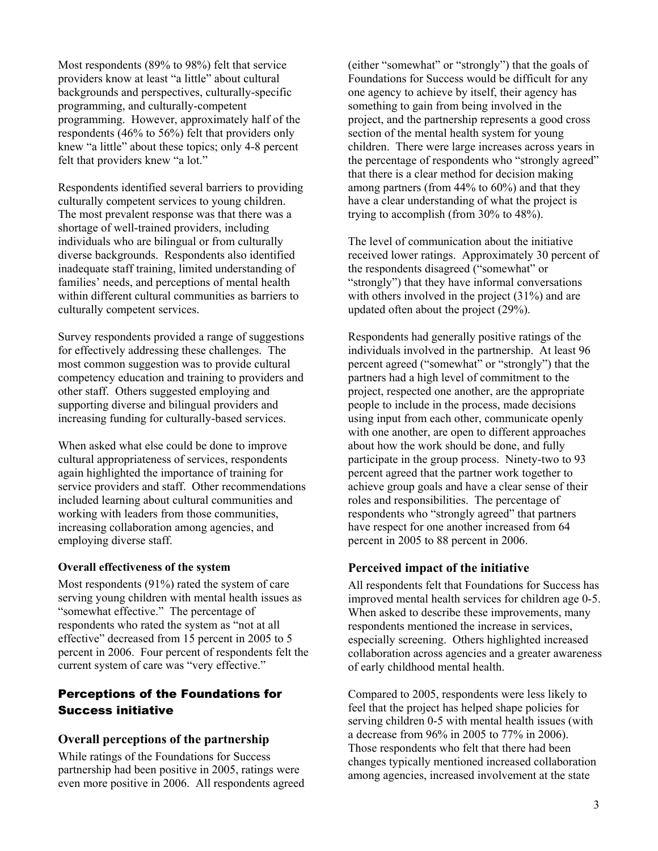Most respondents (89% to 98%) felt that service providers know at least "a little" about cultural backgrounds and perspectives, culturally-specific programming, and culturally-competent programming. However, approximately half of the respondents (46% to 56%) felt that providers only knew "a little" about these topics; only 4-8 percent felt that providers knew "a lot."

Respondents identified several barriers to providing culturally competent services to young children. The most prevalent response was that there was a shortage of well-trained providers, including individuals who are bilingual or from culturally diverse backgrounds. Respondents also identified inadequate staff training, limited understanding of families' needs, and perceptions of mental health within different cultural communities as barriers to culturally competent services.

Survey respondents provided a range of suggestions for effectively addressing these challenges. The most common suggestion was to provide cultural competency education and training to providers and other staff. Others suggested employing and supporting diverse and bilingual providers and increasing funding for culturally-based services.

When asked what else could be done to improve cultural appropriateness of services, respondents again highlighted the importance of training for service providers and staff. Other recommendations included learning about cultural communities and working with leaders from those communities, increasing collaboration among agencies, and employing diverse staff.

#### **Overall effectiveness of the system**

Most respondents (91%) rated the system of care serving young children with mental health issues as "somewhat effective." The percentage of respondents who rated the system as "not at all effective" decreased from 15 percent in 2005 to 5 percent in 2006. Four percent of respondents felt the current system of care was "very effective."

## Perceptions of the Foundations for Success initiative

## **Overall perceptions of the partnership**

While ratings of the Foundations for Success partnership had been positive in 2005, ratings were even more positive in 2006. All respondents agreed

(either "somewhat" or "strongly") that the goals of Foundations for Success would be difficult for any one agency to achieve by itself, their agency has something to gain from being involved in the project, and the partnership represents a good cross section of the mental health system for young children. There were large increases across years in the percentage of respondents who "strongly agreed" that there is a clear method for decision making among partners (from 44% to 60%) and that they have a clear understanding of what the project is trying to accomplish (from 30% to 48%).

The level of communication about the initiative received lower ratings. Approximately 30 percent of the respondents disagreed ("somewhat" or "strongly") that they have informal conversations with others involved in the project (31%) and are updated often about the project (29%).

Respondents had generally positive ratings of the individuals involved in the partnership. At least 96 percent agreed ("somewhat" or "strongly") that the partners had a high level of commitment to the project, respected one another, are the appropriate people to include in the process, made decisions using input from each other, communicate openly with one another, are open to different approaches about how the work should be done, and fully participate in the group process. Ninety-two to 93 percent agreed that the partner work together to achieve group goals and have a clear sense of their roles and responsibilities. The percentage of respondents who "strongly agreed" that partners have respect for one another increased from 64 percent in 2005 to 88 percent in 2006.

## **Perceived impact of the initiative**

All respondents felt that Foundations for Success has improved mental health services for children age 0-5. When asked to describe these improvements, many respondents mentioned the increase in services, especially screening. Others highlighted increased collaboration across agencies and a greater awareness of early childhood mental health.

Compared to 2005, respondents were less likely to feel that the project has helped shape policies for serving children 0-5 with mental health issues (with a decrease from 96% in 2005 to 77% in 2006). Those respondents who felt that there had been changes typically mentioned increased collaboration among agencies, increased involvement at the state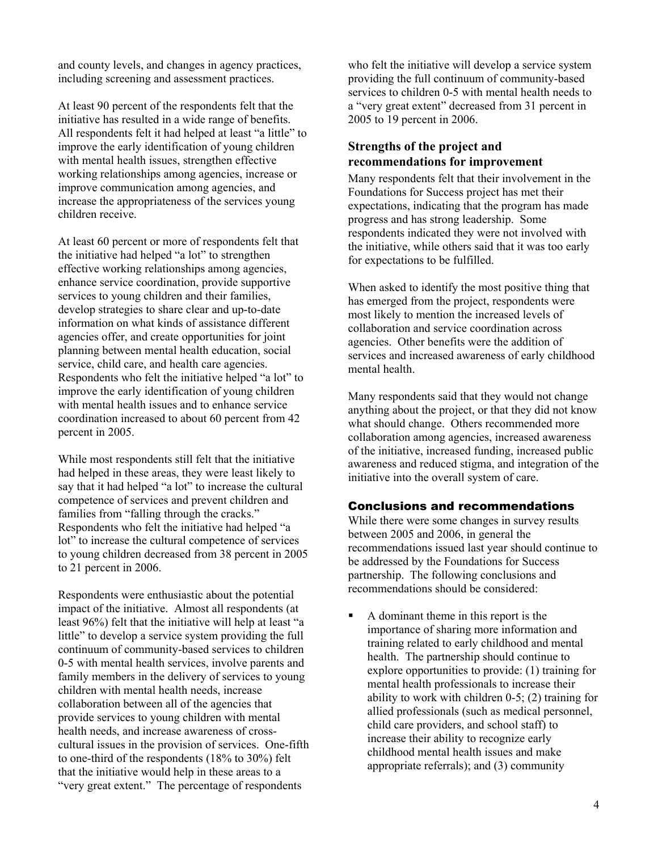and county levels, and changes in agency practices, including screening and assessment practices.

At least 90 percent of the respondents felt that the initiative has resulted in a wide range of benefits. All respondents felt it had helped at least "a little" to improve the early identification of young children with mental health issues, strengthen effective working relationships among agencies, increase or improve communication among agencies, and increase the appropriateness of the services young children receive.

At least 60 percent or more of respondents felt that the initiative had helped "a lot" to strengthen effective working relationships among agencies, enhance service coordination, provide supportive services to young children and their families, develop strategies to share clear and up-to-date information on what kinds of assistance different agencies offer, and create opportunities for joint planning between mental health education, social service, child care, and health care agencies. Respondents who felt the initiative helped "a lot" to improve the early identification of young children with mental health issues and to enhance service coordination increased to about 60 percent from 42 percent in 2005.

While most respondents still felt that the initiative had helped in these areas, they were least likely to say that it had helped "a lot" to increase the cultural competence of services and prevent children and families from "falling through the cracks." Respondents who felt the initiative had helped "a lot" to increase the cultural competence of services to young children decreased from 38 percent in 2005 to 21 percent in 2006.

Respondents were enthusiastic about the potential impact of the initiative. Almost all respondents (at least 96%) felt that the initiative will help at least "a little" to develop a service system providing the full continuum of community-based services to children 0-5 with mental health services, involve parents and family members in the delivery of services to young children with mental health needs, increase collaboration between all of the agencies that provide services to young children with mental health needs, and increase awareness of crosscultural issues in the provision of services. One-fifth to one-third of the respondents (18% to 30%) felt that the initiative would help in these areas to a "very great extent." The percentage of respondents

who felt the initiative will develop a service system providing the full continuum of community-based services to children 0-5 with mental health needs to a "very great extent" decreased from 31 percent in 2005 to 19 percent in 2006.

## **Strengths of the project and recommendations for improvement**

Many respondents felt that their involvement in the Foundations for Success project has met their expectations, indicating that the program has made progress and has strong leadership. Some respondents indicated they were not involved with the initiative, while others said that it was too early for expectations to be fulfilled.

When asked to identify the most positive thing that has emerged from the project, respondents were most likely to mention the increased levels of collaboration and service coordination across agencies. Other benefits were the addition of services and increased awareness of early childhood mental health.

Many respondents said that they would not change anything about the project, or that they did not know what should change. Others recommended more collaboration among agencies, increased awareness of the initiative, increased funding, increased public awareness and reduced stigma, and integration of the initiative into the overall system of care.

## Conclusions and recommendations

While there were some changes in survey results between 2005 and 2006, in general the recommendations issued last year should continue to be addressed by the Foundations for Success partnership. The following conclusions and recommendations should be considered:

A dominant theme in this report is the importance of sharing more information and training related to early childhood and mental health. The partnership should continue to explore opportunities to provide: (1) training for mental health professionals to increase their ability to work with children 0-5; (2) training for allied professionals (such as medical personnel, child care providers, and school staff) to increase their ability to recognize early childhood mental health issues and make appropriate referrals); and (3) community